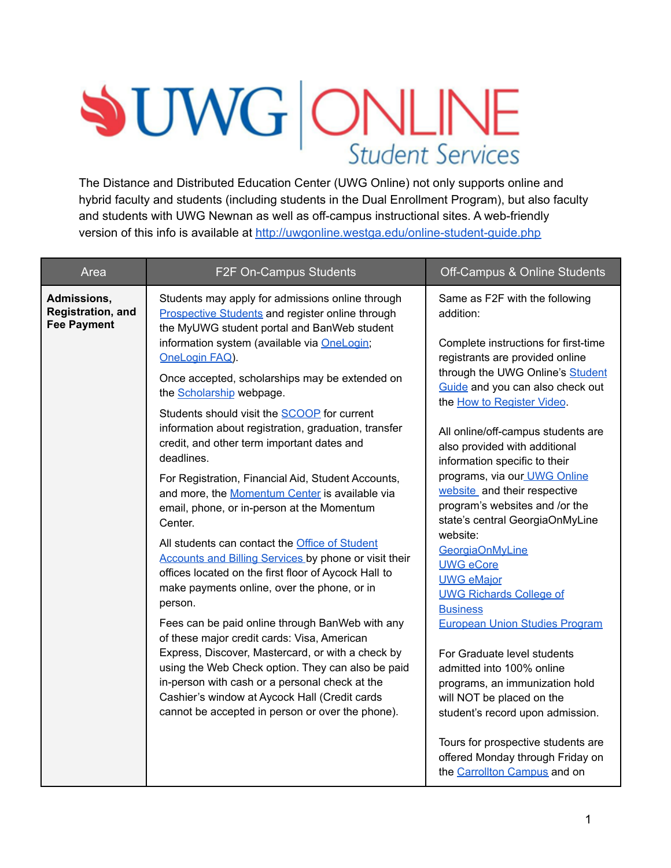# **SUWG ONLINE**

The Distance and Distributed Education Center (UWG Online) not only supports online and hybrid faculty and students (including students in the Dual Enrollment Program), but also faculty and students with UWG Newnan as well as off-campus instructional sites. A web-friendly version of this info is available at <http://uwgonline.westga.edu/online-student-guide.php>

| Area                                                   | F2F On-Campus Students                                                                                                                                                                                                                                                                                                                                                                                                                                                                                                                                                                                                                                                                                                                                        | Off-Campus & Online Students                                                                                                                                                                                                                                                                                                                                                                                                                                                                                                                                                     |
|--------------------------------------------------------|---------------------------------------------------------------------------------------------------------------------------------------------------------------------------------------------------------------------------------------------------------------------------------------------------------------------------------------------------------------------------------------------------------------------------------------------------------------------------------------------------------------------------------------------------------------------------------------------------------------------------------------------------------------------------------------------------------------------------------------------------------------|----------------------------------------------------------------------------------------------------------------------------------------------------------------------------------------------------------------------------------------------------------------------------------------------------------------------------------------------------------------------------------------------------------------------------------------------------------------------------------------------------------------------------------------------------------------------------------|
| Admissions,<br>Registration, and<br><b>Fee Payment</b> | Students may apply for admissions online through<br>Prospective Students and register online through<br>the MyUWG student portal and BanWeb student<br>information system (available via OneLogin;<br>OneLogin FAQ).<br>Once accepted, scholarships may be extended on<br>the Scholarship webpage.<br>Students should visit the <b>SCOOP</b> for current<br>information about registration, graduation, transfer<br>credit, and other term important dates and<br>deadlines.                                                                                                                                                                                                                                                                                  | Same as F2F with the following<br>addition:<br>Complete instructions for first-time<br>registrants are provided online<br>through the UWG Online's Student<br>Guide and you can also check out<br>the How to Register Video.<br>All online/off-campus students are<br>also provided with additional<br>information specific to their                                                                                                                                                                                                                                             |
|                                                        | For Registration, Financial Aid, Student Accounts,<br>and more, the Momentum Center is available via<br>email, phone, or in-person at the Momentum<br>Center.<br>All students can contact the Office of Student<br>Accounts and Billing Services by phone or visit their<br>offices located on the first floor of Aycock Hall to<br>make payments online, over the phone, or in<br>person.<br>Fees can be paid online through BanWeb with any<br>of these major credit cards: Visa, American<br>Express, Discover, Mastercard, or with a check by<br>using the Web Check option. They can also be paid<br>in-person with cash or a personal check at the<br>Cashier's window at Aycock Hall (Credit cards<br>cannot be accepted in person or over the phone). | programs, via our UWG Online<br>website and their respective<br>program's websites and /or the<br>state's central GeorgiaOnMyLine<br>website:<br>GeorgiaOnMyLine<br><b>UWG</b> eCore<br><b>UWG eMajor</b><br><b>UWG Richards College of</b><br><b>Business</b><br><b>European Union Studies Program</b><br>For Graduate level students<br>admitted into 100% online<br>programs, an immunization hold<br>will NOT be placed on the<br>student's record upon admission.<br>Tours for prospective students are<br>offered Monday through Friday on<br>the Carrollton Campus and on |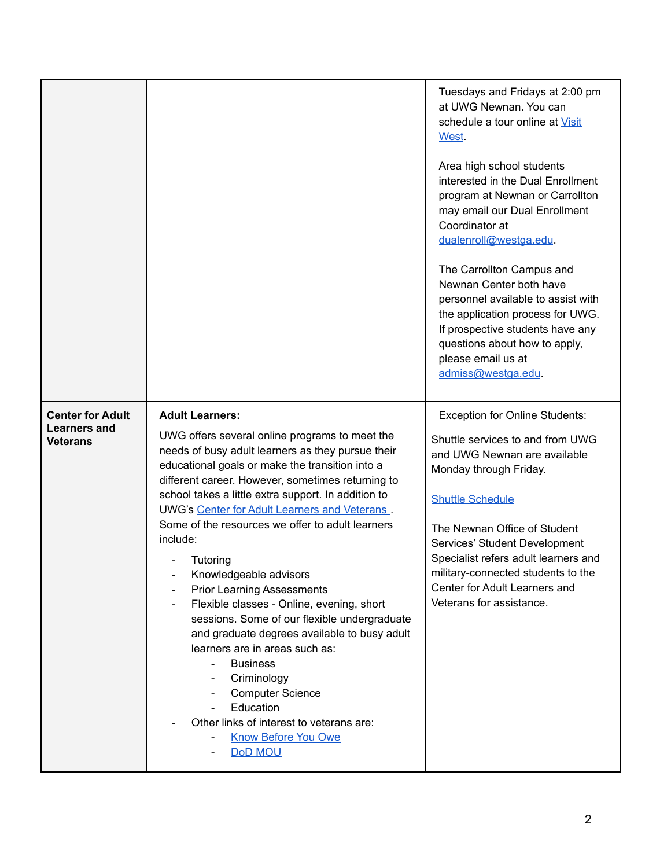|                                                                   |                                                                                                                                                                                                                                                                                                                                                                                                                                                                                                                                                                                                                                                                                                                                                                                                                                                                  | Tuesdays and Fridays at 2:00 pm<br>at UWG Newnan. You can<br>schedule a tour online at Visit<br>West.<br>Area high school students<br>interested in the Dual Enrollment<br>program at Newnan or Carrollton<br>may email our Dual Enrollment<br>Coordinator at<br>dualenroll@westga.edu.<br>The Carrollton Campus and<br>Newnan Center both have<br>personnel available to assist with<br>the application process for UWG.<br>If prospective students have any<br>questions about how to apply,<br>please email us at<br>admiss@westga.edu. |
|-------------------------------------------------------------------|------------------------------------------------------------------------------------------------------------------------------------------------------------------------------------------------------------------------------------------------------------------------------------------------------------------------------------------------------------------------------------------------------------------------------------------------------------------------------------------------------------------------------------------------------------------------------------------------------------------------------------------------------------------------------------------------------------------------------------------------------------------------------------------------------------------------------------------------------------------|--------------------------------------------------------------------------------------------------------------------------------------------------------------------------------------------------------------------------------------------------------------------------------------------------------------------------------------------------------------------------------------------------------------------------------------------------------------------------------------------------------------------------------------------|
| <b>Center for Adult</b><br><b>Learners and</b><br><b>Veterans</b> | <b>Adult Learners:</b><br>UWG offers several online programs to meet the<br>needs of busy adult learners as they pursue their<br>educational goals or make the transition into a<br>different career. However, sometimes returning to<br>school takes a little extra support. In addition to<br>UWG's Center for Adult Learners and Veterans.<br>Some of the resources we offer to adult learners<br>include:<br>Tutoring<br>Knowledgeable advisors<br><b>Prior Learning Assessments</b><br>Flexible classes - Online, evening, short<br>$\qquad \qquad$<br>sessions. Some of our flexible undergraduate<br>and graduate degrees available to busy adult<br>learners are in areas such as:<br><b>Business</b><br>Criminology<br><b>Computer Science</b><br>Education<br>Other links of interest to veterans are:<br><b>Know Before You Owe</b><br><b>DoD MOU</b> | <b>Exception for Online Students:</b><br>Shuttle services to and from UWG<br>and UWG Newnan are available<br>Monday through Friday.<br><b>Shuttle Schedule</b><br>The Newnan Office of Student<br>Services' Student Development<br>Specialist refers adult learners and<br>military-connected students to the<br>Center for Adult Learners and<br>Veterans for assistance.                                                                                                                                                                 |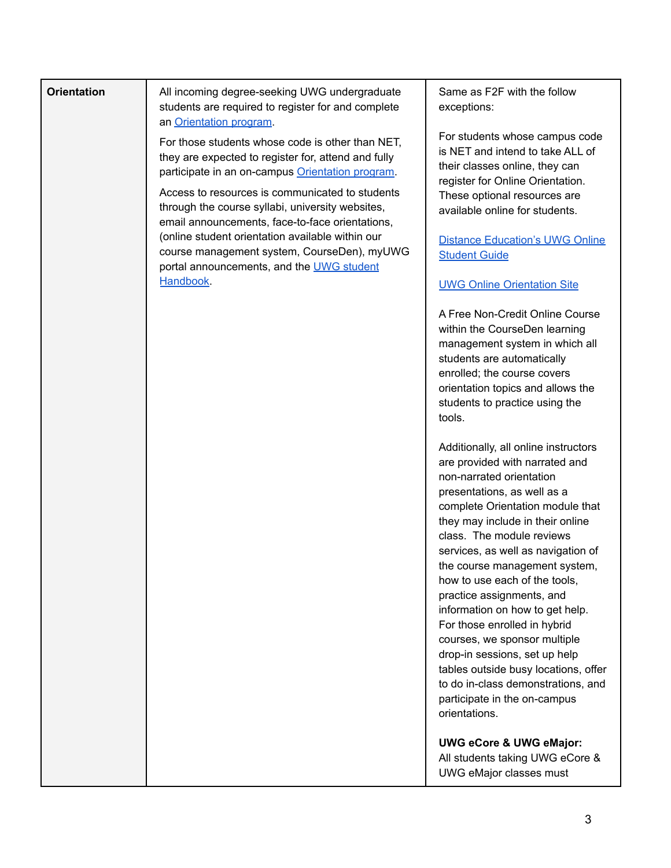| <b>Orientation</b> | All incoming degree-seeking UWG undergraduate<br>students are required to register for and complete<br>an Orientation program.                                   | S<br>e                             |
|--------------------|------------------------------------------------------------------------------------------------------------------------------------------------------------------|------------------------------------|
|                    | For those students whose code is other than NET,<br>they are expected to register for, attend and fully<br>participate in an on-campus Orientation program.      | F<br>is<br>th<br>re                |
|                    | Access to resources is communicated to students<br>through the course syllabi, university websites,<br>email announcements, face-to-face orientations,           | Τ<br>a                             |
|                    | (online student orientation available within our<br>course management system, CourseDen), myUWG<br>portal announcements, and the <b>UWG</b> student<br>Handbook. | $\Box$<br>S<br><u>U</u>            |
|                    |                                                                                                                                                                  | Α                                  |
|                    |                                                                                                                                                                  | W<br>m<br>S                        |
|                    |                                                                                                                                                                  | e<br>о                             |
|                    |                                                                                                                                                                  | s<br>tc                            |
|                    |                                                                                                                                                                  | A<br>a                             |
|                    |                                                                                                                                                                  | n<br>р                             |
|                    |                                                                                                                                                                  | <sub>C</sub><br>tł<br>$\mathbf{C}$ |
|                    |                                                                                                                                                                  | S<br>tŀ                            |
|                    |                                                                                                                                                                  | h<br>р                             |
|                    |                                                                                                                                                                  | ir<br>F                            |
|                    |                                                                                                                                                                  | C<br>d<br>ta                       |
|                    |                                                                                                                                                                  | tc<br>р<br>O                       |
|                    |                                                                                                                                                                  | U<br>A<br>U                        |

ame as F2F with the follow xceptions:

For students whose campus code NET and intend to take ALL of heir classes online, they can egister for Online Orientation. hese optional resources are vailable online for students.

# **Distance [Education's](https://uwgonline.westga.edu/online-student-guide.php) UWG Online student Guide**

## UWG Online [Orientation](https://uwgonline.westga.edu/orientation.php) Site

Free Non-Credit Online Course within the CourseDen learning management system in which all tudents are automatically nrolled; the course covers rientation topics and allows the tudents to practice using the tools.

Additionally, all online instructors are provided with narrated and non-narrated orientation resentations, as well as a complete Orientation module that hey may include in their online lass. The module reviews ervices, as well as navigation of ne course management system, ow to use each of the tools, practice assignments, and iformation on how to get help. For those enrolled in hybrid courses, we sponsor multiple drop-in sessions, set up help ables outside busy locations, offer o do in-class demonstrations, and articipate in the on-campus orientations.

**UWG eCore & UWG eMajor:**

All students taking UWG eCore & UWG eMajor classes must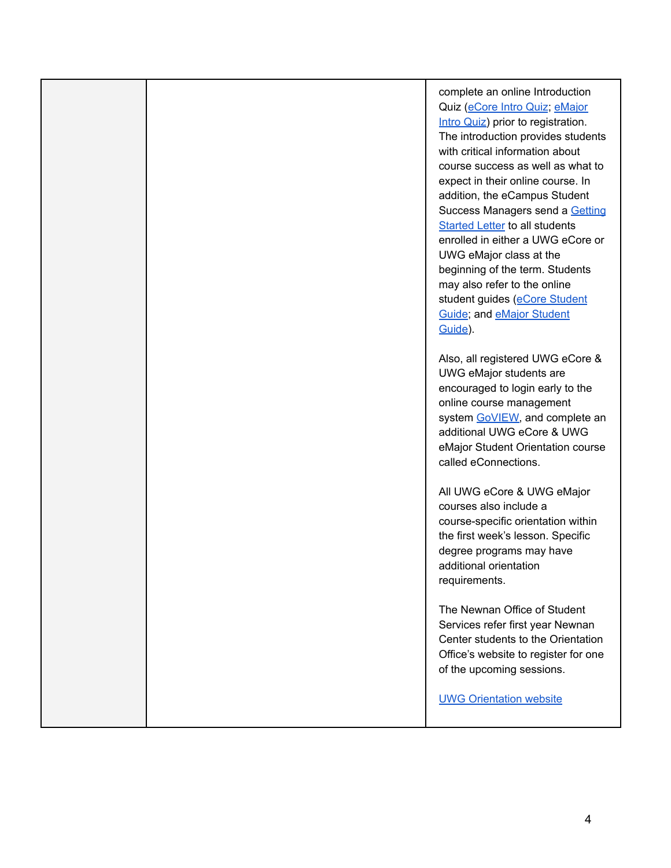complete an online Introduction Quiz [\(eCore](https://ecore.usg.edu/future-students/new-student-introduction-quiz/index.php) Intro Quiz; [eMajor](https://emajor.usg.edu/future-students/new-student-introduction-quiz/) Intro [Quiz\)](https://emajor.usg.edu/future-students/new-student-introduction-quiz/) prior to registration. The introduction provides students with critical information about course success as well as what to expect in their online course. In addition, the eCampus Student Success Managers send a [Getting](https://uwgonline.westga.edu/orientation.php) [Started](https://uwgonline.westga.edu/orientation.php) Letter to all students enrolled in either a UWG eCore or UWG eMajor class at the beginning of the term. Students may also refer to the online student guides (eCore [Student](https://ecore.usg.edu/current-students/student-guide/) [Guide](https://ecore.usg.edu/current-students/student-guide/); and eMajor [Student](https://emajor.usg.edu/current-students/student-guide/) [Guide](https://emajor.usg.edu/current-students/student-guide/)).

Also, all registered UWG eCore & UWG eMajor students are encouraged to login early to the online course management system [GoVIEW,](http://go.view.usg.edu) and complete an additional UWG eCore & UWG eMajor Student Orientation course called eConnections.

All UWG eCore & UWG eMajor courses also include a course-specific orientation within the first week's lesson. Specific degree programs may have additional orientation requirements.

The Newnan Office of Student Services refer first year Newnan Center students to the Orientation Office's website to register for one of the upcoming sessions.

UWG [Orientation](https://www.westga.edu/campus-life/orientation/index.php) website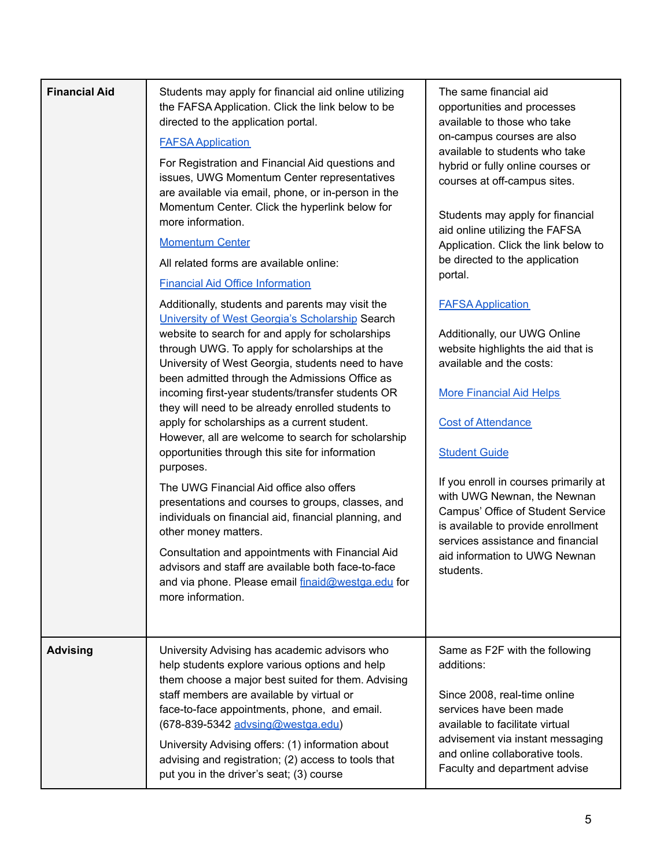| <b>Financial Aid</b> | Students may apply for financial aid online utilizing<br>the FAFSA Application. Click the link below to be<br>directed to the application portal.<br><b>FAFSA Application</b><br>For Registration and Financial Aid questions and<br>issues, UWG Momentum Center representatives<br>are available via email, phone, or in-person in the<br>Momentum Center. Click the hyperlink below for<br>more information.<br><b>Momentum Center</b><br>All related forms are available online:<br><b>Financial Aid Office Information</b><br>Additionally, students and parents may visit the<br>University of West Georgia's Scholarship Search<br>website to search for and apply for scholarships<br>through UWG. To apply for scholarships at the<br>University of West Georgia, students need to have<br>been admitted through the Admissions Office as<br>incoming first-year students/transfer students OR<br>they will need to be already enrolled students to<br>apply for scholarships as a current student.<br>However, all are welcome to search for scholarship<br>opportunities through this site for information<br>purposes.<br>The UWG Financial Aid office also offers<br>presentations and courses to groups, classes, and<br>individuals on financial aid, financial planning, and<br>other money matters.<br>Consultation and appointments with Financial Aid<br>advisors and staff are available both face-to-face<br>and via phone. Please email finaid@westga.edu for<br>more information. | The same financial aid<br>opportunities and processes<br>available to those who take<br>on-campus courses are also<br>available to students who take<br>hybrid or fully online courses or<br>courses at off-campus sites.<br>Students may apply for financial<br>aid online utilizing the FAFSA<br>Application. Click the link below to<br>be directed to the application<br>portal.<br><b>FAFSA Application</b><br>Additionally, our UWG Online<br>website highlights the aid that is<br>available and the costs:<br><b>More Financial Aid Helps</b><br><b>Cost of Attendance</b><br><b>Student Guide</b><br>If you enroll in courses primarily at<br>with UWG Newnan, the Newnan<br>Campus' Office of Student Service<br>is available to provide enrollment<br>services assistance and financial<br>aid information to UWG Newnan<br>students. |
|----------------------|---------------------------------------------------------------------------------------------------------------------------------------------------------------------------------------------------------------------------------------------------------------------------------------------------------------------------------------------------------------------------------------------------------------------------------------------------------------------------------------------------------------------------------------------------------------------------------------------------------------------------------------------------------------------------------------------------------------------------------------------------------------------------------------------------------------------------------------------------------------------------------------------------------------------------------------------------------------------------------------------------------------------------------------------------------------------------------------------------------------------------------------------------------------------------------------------------------------------------------------------------------------------------------------------------------------------------------------------------------------------------------------------------------------------------------------------------------------------------------------------------------|--------------------------------------------------------------------------------------------------------------------------------------------------------------------------------------------------------------------------------------------------------------------------------------------------------------------------------------------------------------------------------------------------------------------------------------------------------------------------------------------------------------------------------------------------------------------------------------------------------------------------------------------------------------------------------------------------------------------------------------------------------------------------------------------------------------------------------------------------|
| <b>Advising</b>      | University Advising has academic advisors who<br>help students explore various options and help<br>them choose a major best suited for them. Advising<br>staff members are available by virtual or<br>face-to-face appointments, phone, and email.<br>(678-839-5342 advsing@westga.edu)<br>University Advising offers: (1) information about<br>advising and registration; (2) access to tools that<br>put you in the driver's seat; (3) course                                                                                                                                                                                                                                                                                                                                                                                                                                                                                                                                                                                                                                                                                                                                                                                                                                                                                                                                                                                                                                                         | Same as F2F with the following<br>additions:<br>Since 2008, real-time online<br>services have been made<br>available to facilitate virtual<br>advisement via instant messaging<br>and online collaborative tools.<br>Faculty and department advise                                                                                                                                                                                                                                                                                                                                                                                                                                                                                                                                                                                               |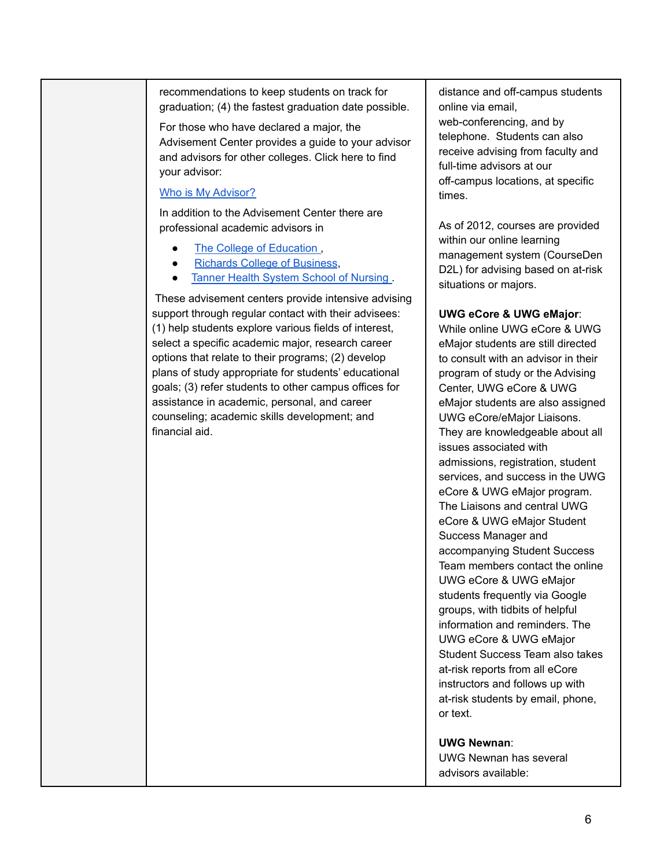recommendations to keep students on track for graduation; (4) the fastest graduation date possible.

For those who have declared a major, the Advisement Center provides a guide to your advisor and advisors for other colleges. Click here to find your advisor:

### Who is My [Advisor?](https://www.westga.edu/student-services/advising/majors-advising-center.php)

In addition to the Advisement Center there are professional academic advisors in

- The College of [Education](https://www.westga.edu/coeadvisement/).
- Richards College of [Business](https://www.westga.edu/academics/business/rcssc-academic-undergraduate-advising.php).
- Tanner Health System School of [Nursing](https://www.westga.edu/academics/nursing/advising-information.php) .

These advisement centers provide intensive advising support through regular contact with their advisees: (1) help students explore various fields of interest, select a specific academic major, research career options that relate to their programs; (2) develop plans of study appropriate for students' educational goals; (3) refer students to other campus offices for assistance in academic, personal, and career counseling; academic skills development; and financial aid.

distance and off-campus students online via email,

web-conferencing, and by telephone. Students can also receive advising from faculty and full-time advisors at our off-campus locations, at specific times.

As of 2012, courses are provided within our online learning management system (CourseDen D2L) for advising based on at-risk situations or majors.

### **UWG eCore & UWG eMajor**:

While online UWG eCore & UWG eMajor students are still directed to consult with an advisor in their program of study or the Advising Center, UWG eCore & UWG eMajor students are also assigned UWG eCore/eMajor Liaisons. They are knowledgeable about all issues associated with admissions, registration, student services, and success in the UWG eCore & UWG eMajor program. The Liaisons and central UWG eCore & UWG eMajor Student Success Manager and accompanying Student Success Team members contact the online UWG eCore & UWG eMajor students frequently via Google groups, with tidbits of helpful information and reminders. The UWG eCore & UWG eMajor Student Success Team also takes at-risk reports from all eCore instructors and follows up with at-risk students by email, phone, or text.

**UWG Newnan**:

UWG Newnan has several advisors available: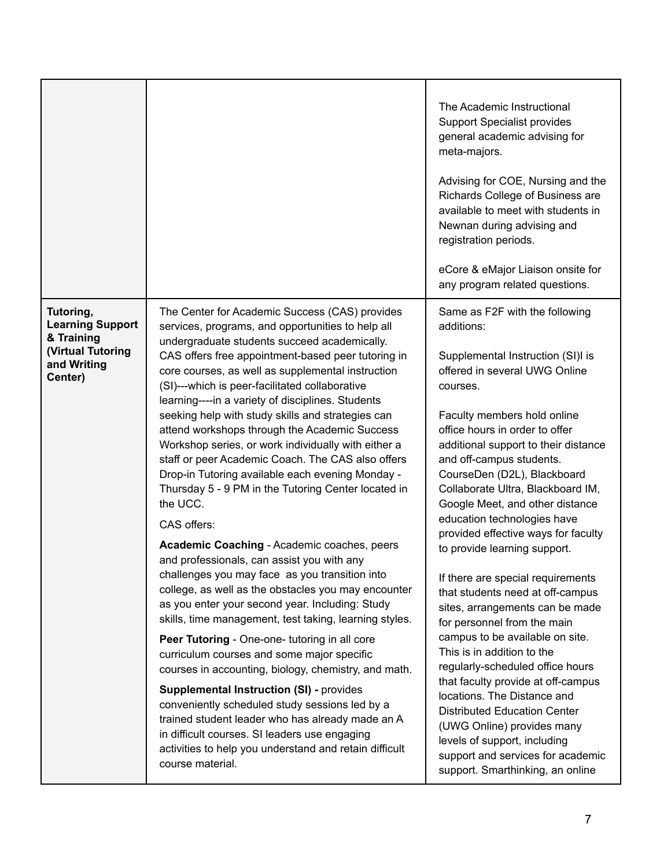|                                                                                                          |                                                                                                                                                                                                                                                                                                                                                                                                                                                                                                                                                                                                                                                                                                                                                                | The Academic Instructional<br><b>Support Specialist provides</b><br>general academic advising for<br>meta-majors.<br>Advising for COE, Nursing and the<br>Richards College of Business are<br>available to meet with students in<br>Newnan during advising and<br>registration periods.<br>eCore & eMajor Liaison onsite for<br>any program related questions.                                                                                                                                                                                                         |
|----------------------------------------------------------------------------------------------------------|----------------------------------------------------------------------------------------------------------------------------------------------------------------------------------------------------------------------------------------------------------------------------------------------------------------------------------------------------------------------------------------------------------------------------------------------------------------------------------------------------------------------------------------------------------------------------------------------------------------------------------------------------------------------------------------------------------------------------------------------------------------|------------------------------------------------------------------------------------------------------------------------------------------------------------------------------------------------------------------------------------------------------------------------------------------------------------------------------------------------------------------------------------------------------------------------------------------------------------------------------------------------------------------------------------------------------------------------|
| Tutoring,<br><b>Learning Support</b><br>& Training<br><b>(Virtual Tutoring</b><br>and Writing<br>Center) | The Center for Academic Success (CAS) provides<br>services, programs, and opportunities to help all<br>undergraduate students succeed academically.<br>CAS offers free appointment-based peer tutoring in<br>core courses, as well as supplemental instruction<br>(SI)---which is peer-facilitated collaborative<br>learning----in a variety of disciplines. Students<br>seeking help with study skills and strategies can<br>attend workshops through the Academic Success<br>Workshop series, or work individually with either a<br>staff or peer Academic Coach. The CAS also offers<br>Drop-in Tutoring available each evening Monday -<br>Thursday 5 - 9 PM in the Tutoring Center located in<br>the UCC.<br>CAS offers:                                  | Same as F2F with the following<br>additions:<br>Supplemental Instruction (SI)I is<br>offered in several UWG Online<br>courses.<br>Faculty members hold online<br>office hours in order to offer<br>additional support to their distance<br>and off-campus students.<br>CourseDen (D2L), Blackboard<br>Collaborate Ultra, Blackboard IM,<br>Google Meet, and other distance<br>education technologies have                                                                                                                                                              |
|                                                                                                          | Academic Coaching - Academic coaches, peers<br>and professionals, can assist you with any<br>challenges you may face as you transition into<br>college, as well as the obstacles you may encounter<br>as you enter your second year. Including: Study<br>skills, time management, test taking, learning styles.<br>Peer Tutoring - One-one- tutoring in all core<br>curriculum courses and some major specific<br>courses in accounting, biology, chemistry, and math.<br><b>Supplemental Instruction (SI) - provides</b><br>conveniently scheduled study sessions led by a<br>trained student leader who has already made an A<br>in difficult courses. SI leaders use engaging<br>activities to help you understand and retain difficult<br>course material. | provided effective ways for faculty<br>to provide learning support.<br>If there are special requirements<br>that students need at off-campus<br>sites, arrangements can be made<br>for personnel from the main<br>campus to be available on site.<br>This is in addition to the<br>regularly-scheduled office hours<br>that faculty provide at off-campus<br>locations. The Distance and<br><b>Distributed Education Center</b><br>(UWG Online) provides many<br>levels of support, including<br>support and services for academic<br>support. Smarthinking, an online |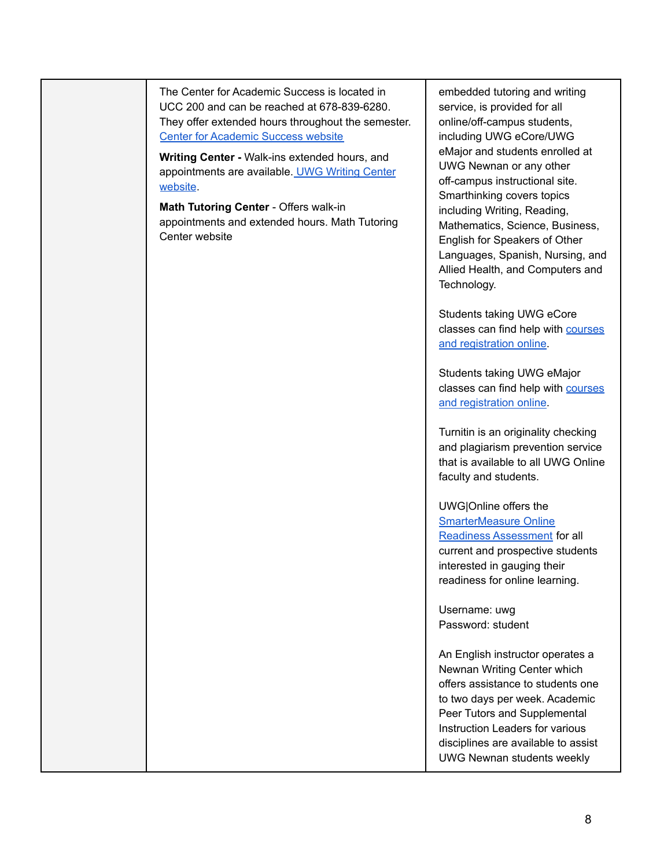The Center for Academic Success is located in UCC 200 and can be reached at 678-839-6280. They offer extended hours throughout the semester. Center for [Academic](https://www.westga.edu/cas/) Success website

**Writing Center -** Walk-ins extended hours, and appointments are available. UWG [Writing](https://www.westga.edu/writing/) Center [website](https://www.westga.edu/writing/).

**Math Tutoring Center** - Offers walk-in appointments and extended hours. Math Tutoring Center website

embedded tutoring and writing service, is provided for all online/off-campus students, including UWG eCore/UWG eMajor and students enrolled at UWG Newnan or any other off-campus instructional site. Smarthinking covers topics including Writing, Reading, Mathematics, Science, Business, English for Speakers of Other Languages, Spanish, Nursing, and Allied Health, and Computers and Technology.

Students taking UWG eCore classes can find help with [courses](https://www.westga.edu/academics/ecore/index.php) and [registration](https://www.westga.edu/academics/ecore/index.php) online.

Students taking UWG eMajor classes can find help with [courses](https://uwgonline.westga.edu/uwg-emajor.php) and [registration](https://uwgonline.westga.edu/uwg-emajor.php) online.

Turnitin is an originality checking and plagiarism prevention service that is available to all UWG Online faculty and students.

UWG|Online offers the [SmarterMeasure](https://westga.smartermeasure.com/) Online Readiness [Assessment](https://westga.smartermeasure.com/) for all current and prospective students interested in gauging their readiness for online learning.

Username: uwg Password: student

An English instructor operates a Newnan Writing Center which offers assistance to students one to two days per week. Academic Peer Tutors and Supplemental Instruction Leaders for various disciplines are available to assist UWG Newnan students weekly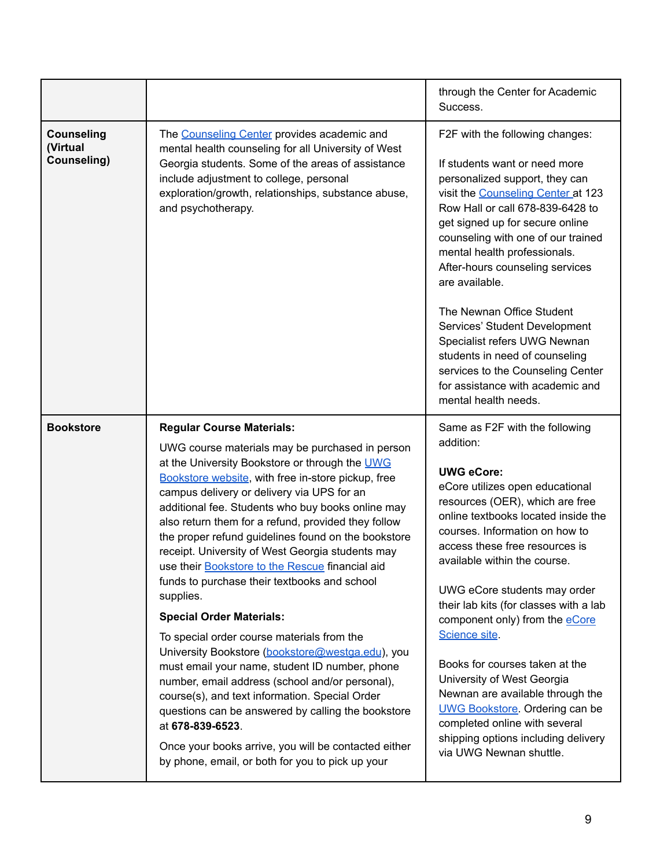|                                              |                                                                                                                                                                                                                                                                                                                                                                                                                                                                                                                                                                                                                                                                                                                                                                                                                                                                                                                                                                                                                                                                    | through the Center for Academic<br>Success.                                                                                                                                                                                                                                                                                                                                                                                                                                                                                                                                                                                                                            |
|----------------------------------------------|--------------------------------------------------------------------------------------------------------------------------------------------------------------------------------------------------------------------------------------------------------------------------------------------------------------------------------------------------------------------------------------------------------------------------------------------------------------------------------------------------------------------------------------------------------------------------------------------------------------------------------------------------------------------------------------------------------------------------------------------------------------------------------------------------------------------------------------------------------------------------------------------------------------------------------------------------------------------------------------------------------------------------------------------------------------------|------------------------------------------------------------------------------------------------------------------------------------------------------------------------------------------------------------------------------------------------------------------------------------------------------------------------------------------------------------------------------------------------------------------------------------------------------------------------------------------------------------------------------------------------------------------------------------------------------------------------------------------------------------------------|
| <b>Counseling</b><br>(Virtual<br>Counseling) | The Counseling Center provides academic and<br>mental health counseling for all University of West<br>Georgia students. Some of the areas of assistance<br>include adjustment to college, personal<br>exploration/growth, relationships, substance abuse,<br>and psychotherapy.                                                                                                                                                                                                                                                                                                                                                                                                                                                                                                                                                                                                                                                                                                                                                                                    | F2F with the following changes:<br>If students want or need more<br>personalized support, they can<br>visit the Counseling Center at 123<br>Row Hall or call 678-839-6428 to<br>get signed up for secure online<br>counseling with one of our trained<br>mental health professionals.<br>After-hours counseling services<br>are available.<br>The Newnan Office Student<br>Services' Student Development<br>Specialist refers UWG Newnan<br>students in need of counseling<br>services to the Counseling Center<br>for assistance with academic and<br>mental health needs.                                                                                            |
| <b>Bookstore</b>                             | <b>Regular Course Materials:</b><br>UWG course materials may be purchased in person<br>at the University Bookstore or through the UWG<br>Bookstore website, with free in-store pickup, free<br>campus delivery or delivery via UPS for an<br>additional fee. Students who buy books online may<br>also return them for a refund, provided they follow<br>the proper refund guidelines found on the bookstore<br>receipt. University of West Georgia students may<br>use their Bookstore to the Rescue financial aid<br>funds to purchase their textbooks and school<br>supplies.<br><b>Special Order Materials:</b><br>To special order course materials from the<br>University Bookstore (bookstore@westga.edu), you<br>must email your name, student ID number, phone<br>number, email address (school and/or personal),<br>course(s), and text information. Special Order<br>questions can be answered by calling the bookstore<br>at 678-839-6523.<br>Once your books arrive, you will be contacted either<br>by phone, email, or both for you to pick up your | Same as F2F with the following<br>addition:<br><b>UWG eCore:</b><br>eCore utilizes open educational<br>resources (OER), which are free<br>online textbooks located inside the<br>courses. Information on how to<br>access these free resources is<br>available within the course.<br>UWG eCore students may order<br>their lab kits (for classes with a lab<br>component only) from the <b>eCore</b><br>Science site.<br>Books for courses taken at the<br>University of West Georgia<br>Newnan are available through the<br><b>UWG Bookstore</b> . Ordering can be<br>completed online with several<br>shipping options including delivery<br>via UWG Newnan shuttle. |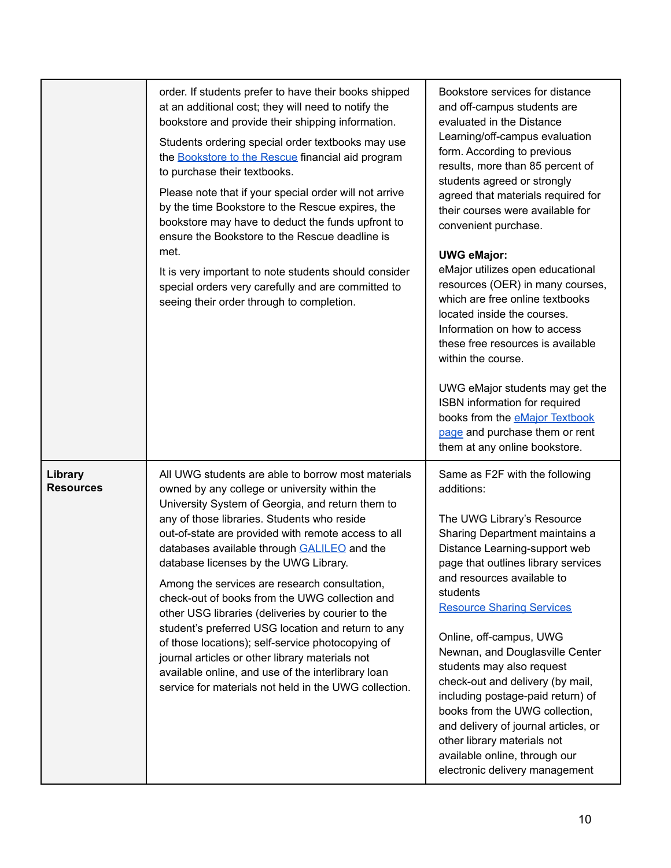|                             | order. If students prefer to have their books shipped<br>at an additional cost; they will need to notify the<br>bookstore and provide their shipping information.<br>Students ordering special order textbooks may use<br>the Bookstore to the Rescue financial aid program<br>to purchase their textbooks.<br>Please note that if your special order will not arrive<br>by the time Bookstore to the Rescue expires, the<br>bookstore may have to deduct the funds upfront to<br>ensure the Bookstore to the Rescue deadline is<br>met.<br>It is very important to note students should consider<br>special orders very carefully and are committed to<br>seeing their order through to completion.                                                                                              | Bookstore services for distance<br>and off-campus students are<br>evaluated in the Distance<br>Learning/off-campus evaluation<br>form. According to previous<br>results, more than 85 percent of<br>students agreed or strongly<br>agreed that materials required for<br>their courses were available for<br>convenient purchase.<br><b>UWG eMajor:</b><br>eMajor utilizes open educational<br>resources (OER) in many courses,<br>which are free online textbooks<br>located inside the courses.<br>Information on how to access<br>these free resources is available<br>within the course.<br>UWG eMajor students may get the<br>ISBN information for required<br>books from the <b>eMajor Textbook</b><br>page and purchase them or rent<br>them at any online bookstore. |
|-----------------------------|---------------------------------------------------------------------------------------------------------------------------------------------------------------------------------------------------------------------------------------------------------------------------------------------------------------------------------------------------------------------------------------------------------------------------------------------------------------------------------------------------------------------------------------------------------------------------------------------------------------------------------------------------------------------------------------------------------------------------------------------------------------------------------------------------|------------------------------------------------------------------------------------------------------------------------------------------------------------------------------------------------------------------------------------------------------------------------------------------------------------------------------------------------------------------------------------------------------------------------------------------------------------------------------------------------------------------------------------------------------------------------------------------------------------------------------------------------------------------------------------------------------------------------------------------------------------------------------|
| Library<br><b>Resources</b> | All UWG students are able to borrow most materials<br>owned by any college or university within the<br>University System of Georgia, and return them to<br>any of those libraries. Students who reside<br>out-of-state are provided with remote access to all<br>databases available through <b>GALILEO</b> and the<br>database licenses by the UWG Library.<br>Among the services are research consultation,<br>check-out of books from the UWG collection and<br>other USG libraries (deliveries by courier to the<br>student's preferred USG location and return to any<br>of those locations); self-service photocopying of<br>journal articles or other library materials not<br>available online, and use of the interlibrary loan<br>service for materials not held in the UWG collection. | Same as F2F with the following<br>additions:<br>The UWG Library's Resource<br>Sharing Department maintains a<br>Distance Learning-support web<br>page that outlines library services<br>and resources available to<br>students<br><b>Resource Sharing Services</b><br>Online, off-campus, UWG<br>Newnan, and Douglasville Center<br>students may also request<br>check-out and delivery (by mail,<br>including postage-paid return) of<br>books from the UWG collection,<br>and delivery of journal articles, or<br>other library materials not<br>available online, through our<br>electronic delivery management                                                                                                                                                           |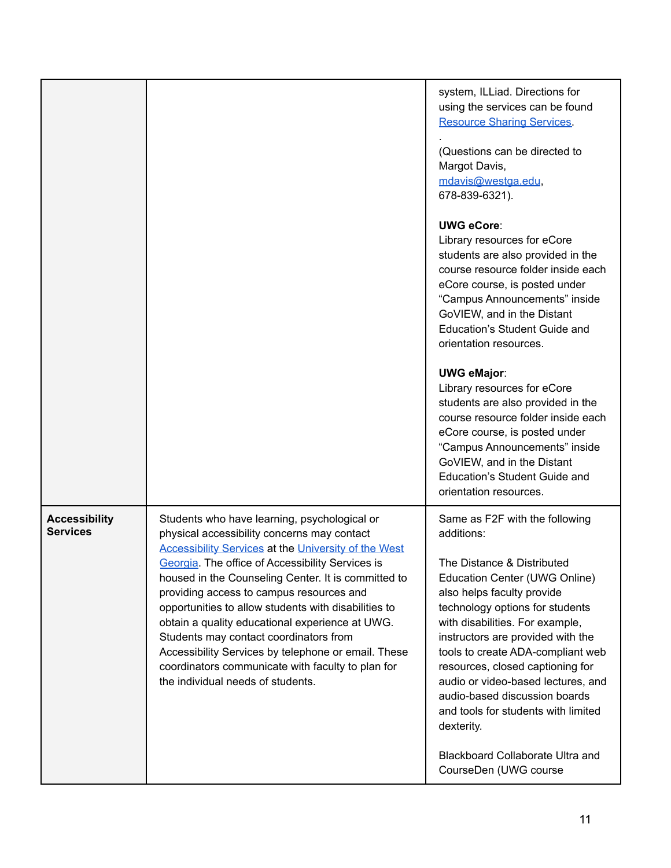|                                         |                                                                                                                                                                                                                                                                                                                                                                                                                                                                                                                                                                                                                         | system, ILLiad. Directions for<br>using the services can be found<br><b>Resource Sharing Services</b><br>(Questions can be directed to<br>Margot Davis,<br>mdavis@westga.edu,<br>678-839-6321).<br><b>UWG eCore:</b><br>Library resources for eCore<br>students are also provided in the<br>course resource folder inside each<br>eCore course, is posted under<br>"Campus Announcements" inside<br>GoVIEW, and in the Distant<br>Education's Student Guide and<br>orientation resources.<br><b>UWG eMajor:</b><br>Library resources for eCore<br>students are also provided in the<br>course resource folder inside each<br>eCore course, is posted under<br>"Campus Announcements" inside<br>GoVIEW, and in the Distant<br>Education's Student Guide and<br>orientation resources. |
|-----------------------------------------|-------------------------------------------------------------------------------------------------------------------------------------------------------------------------------------------------------------------------------------------------------------------------------------------------------------------------------------------------------------------------------------------------------------------------------------------------------------------------------------------------------------------------------------------------------------------------------------------------------------------------|--------------------------------------------------------------------------------------------------------------------------------------------------------------------------------------------------------------------------------------------------------------------------------------------------------------------------------------------------------------------------------------------------------------------------------------------------------------------------------------------------------------------------------------------------------------------------------------------------------------------------------------------------------------------------------------------------------------------------------------------------------------------------------------|
| <b>Accessibility</b><br><b>Services</b> | Students who have learning, psychological or<br>physical accessibility concerns may contact<br><b>Accessibility Services at the University of the West</b><br>Georgia. The office of Accessibility Services is<br>housed in the Counseling Center. It is committed to<br>providing access to campus resources and<br>opportunities to allow students with disabilities to<br>obtain a quality educational experience at UWG.<br>Students may contact coordinators from<br>Accessibility Services by telephone or email. These<br>coordinators communicate with faculty to plan for<br>the individual needs of students. | Same as F2F with the following<br>additions:<br>The Distance & Distributed<br>Education Center (UWG Online)<br>also helps faculty provide<br>technology options for students<br>with disabilities. For example,<br>instructors are provided with the<br>tools to create ADA-compliant web<br>resources, closed captioning for<br>audio or video-based lectures, and<br>audio-based discussion boards<br>and tools for students with limited<br>dexterity.<br>Blackboard Collaborate Ultra and<br>CourseDen (UWG course                                                                                                                                                                                                                                                               |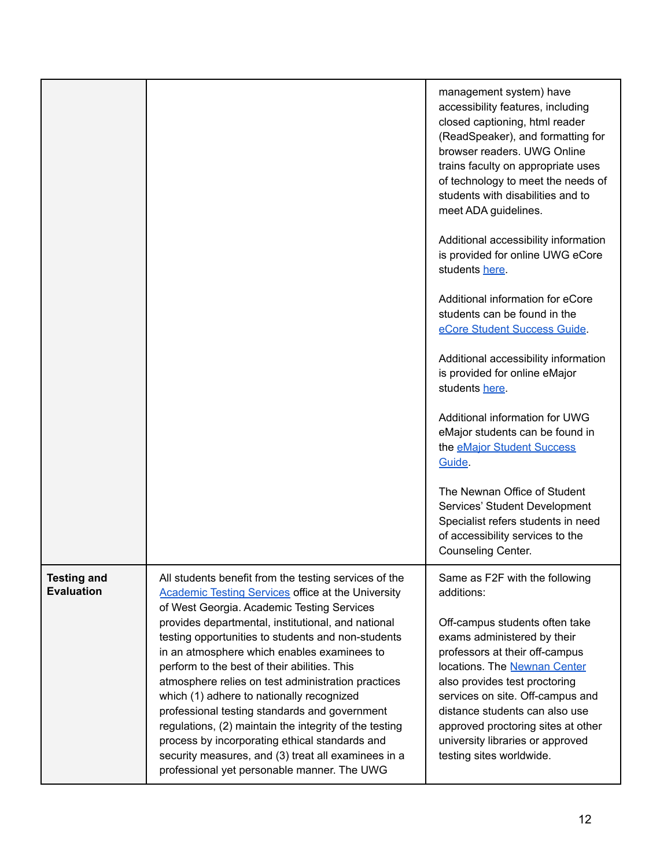|                                         |                                                                                                                                                                                                                                                                                                                                                                                                                                                                                                                                                                               | management system) have<br>accessibility features, including<br>closed captioning, html reader<br>(ReadSpeaker), and formatting for<br>browser readers. UWG Online<br>trains faculty on appropriate uses<br>of technology to meet the needs of<br>students with disabilities and to<br>meet ADA guidelines.<br>Additional accessibility information |
|-----------------------------------------|-------------------------------------------------------------------------------------------------------------------------------------------------------------------------------------------------------------------------------------------------------------------------------------------------------------------------------------------------------------------------------------------------------------------------------------------------------------------------------------------------------------------------------------------------------------------------------|-----------------------------------------------------------------------------------------------------------------------------------------------------------------------------------------------------------------------------------------------------------------------------------------------------------------------------------------------------|
|                                         |                                                                                                                                                                                                                                                                                                                                                                                                                                                                                                                                                                               | is provided for online UWG eCore<br>students here.                                                                                                                                                                                                                                                                                                  |
|                                         |                                                                                                                                                                                                                                                                                                                                                                                                                                                                                                                                                                               | Additional information for eCore<br>students can be found in the<br>eCore Student Success Guide.                                                                                                                                                                                                                                                    |
|                                         |                                                                                                                                                                                                                                                                                                                                                                                                                                                                                                                                                                               | Additional accessibility information<br>is provided for online eMajor<br>students here.                                                                                                                                                                                                                                                             |
|                                         |                                                                                                                                                                                                                                                                                                                                                                                                                                                                                                                                                                               | Additional information for UWG<br>eMajor students can be found in<br>the eMajor Student Success<br>Guide.                                                                                                                                                                                                                                           |
|                                         |                                                                                                                                                                                                                                                                                                                                                                                                                                                                                                                                                                               | The Newnan Office of Student<br>Services' Student Development<br>Specialist refers students in need<br>of accessibility services to the<br>Counseling Center.                                                                                                                                                                                       |
| <b>Testing and</b><br><b>Evaluation</b> | All students benefit from the testing services of the<br><b>Academic Testing Services office at the University</b><br>of West Georgia. Academic Testing Services                                                                                                                                                                                                                                                                                                                                                                                                              | Same as F2F with the following<br>additions:                                                                                                                                                                                                                                                                                                        |
|                                         | provides departmental, institutional, and national<br>testing opportunities to students and non-students<br>in an atmosphere which enables examinees to<br>perform to the best of their abilities. This<br>atmosphere relies on test administration practices<br>which (1) adhere to nationally recognized<br>professional testing standards and government<br>regulations, (2) maintain the integrity of the testing<br>process by incorporating ethical standards and<br>security measures, and (3) treat all examinees in a<br>professional yet personable manner. The UWG | Off-campus students often take<br>exams administered by their<br>professors at their off-campus<br>locations. The Newnan Center<br>also provides test proctoring<br>services on site. Off-campus and<br>distance students can also use<br>approved proctoring sites at other<br>university libraries or approved<br>testing sites worldwide.        |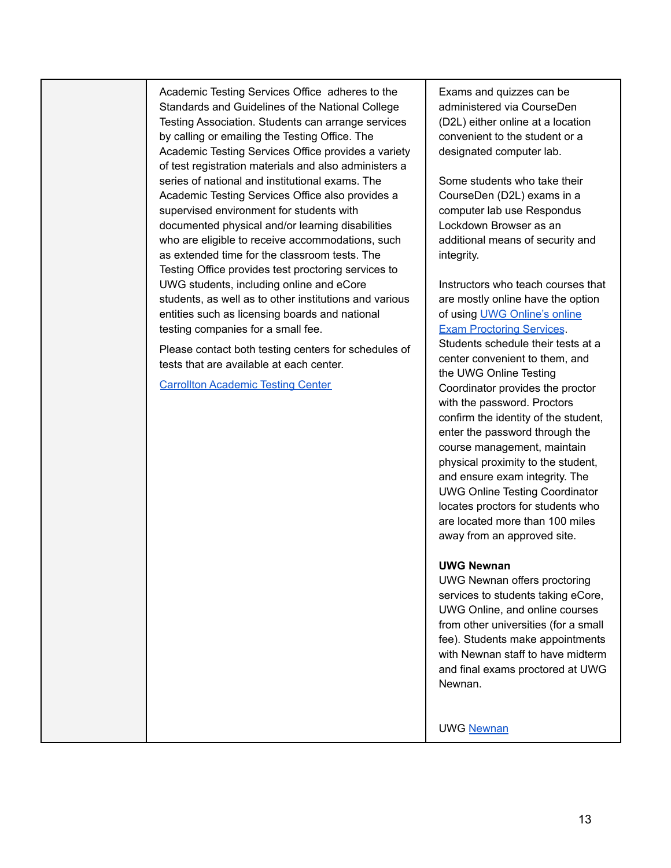Academic Testing Services Office adheres to the Standards and Guidelines of the National College Testing Association. Students can arrange services by calling or emailing the Testing Office. The Academic Testing Services Office provides a variety of test registration materials and also administers a series of national and institutional exams. The Academic Testing Services Office also provides a supervised environment for students with documented physical and/or learning disabilities who are eligible to receive accommodations, such as extended time for the classroom tests. The Testing Office provides test proctoring services to UWG students, including online and eCore students, as well as to other institutions and various entities such as licensing boards and national testing companies for a small fee.

Please contact both testing centers for schedules of tests that are available at each center.

Carrollton [Academic](https://www.westga.edu/testing/) Testing Center

Exams and quizzes can be administered via CourseDen (D2L) either online at a location convenient to the student or a designated computer lab.

Some students who take their CourseDen (D2L) exams in a computer lab use Respondus Lockdown Browser as an additional means of security and integrity.

Instructors who teach courses that are mostly online have the option of using UWG [Online's](https://uwgonline.westga.edu/exams.php) online Exam [Proctoring](https://uwgonline.westga.edu/exams.php) Services. Students schedule their tests at a

center convenient to them, and the UWG Online Testing Coordinator provides the proctor with the password. Proctors confirm the identity of the student, enter the password through the course management, maintain physical proximity to the student, and ensure exam integrity. The UWG Online Testing Coordinator locates proctors for students who are located more than 100 miles away from an approved site.

### **UWG Newnan**

UWG Newnan offers proctoring services to students taking eCore, UWG Online, and online courses from other universities (for a small fee). Students make appointments with Newnan staff to have midterm and final exams proctored at UWG Newnan.

UWG [Newnan](https://www.westga.edu/newnan/test-proctoring.php)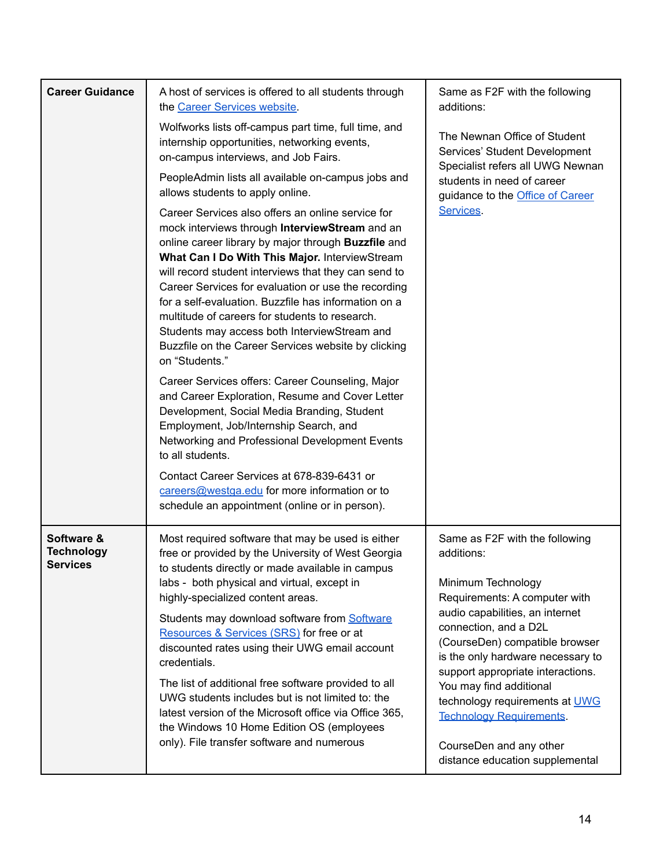| <b>Career Guidance</b>                             | A host of services is offered to all students through<br>the Career Services website.<br>Wolfworks lists off-campus part time, full time, and<br>internship opportunities, networking events,<br>on-campus interviews, and Job Fairs.<br>PeopleAdmin lists all available on-campus jobs and<br>allows students to apply online.<br>Career Services also offers an online service for<br>mock interviews through InterviewStream and an<br>online career library by major through Buzzfile and<br>What Can I Do With This Major. InterviewStream<br>will record student interviews that they can send to<br>Career Services for evaluation or use the recording<br>for a self-evaluation. Buzzfile has information on a<br>multitude of careers for students to research.<br>Students may access both InterviewStream and<br>Buzzfile on the Career Services website by clicking | Same as F2F with the following<br>additions:<br>The Newnan Office of Student<br>Services' Student Development<br>Specialist refers all UWG Newnan<br>students in need of career<br>guidance to the <b>Office of Career</b><br>Services.                                                                                                                                                                                                          |
|----------------------------------------------------|---------------------------------------------------------------------------------------------------------------------------------------------------------------------------------------------------------------------------------------------------------------------------------------------------------------------------------------------------------------------------------------------------------------------------------------------------------------------------------------------------------------------------------------------------------------------------------------------------------------------------------------------------------------------------------------------------------------------------------------------------------------------------------------------------------------------------------------------------------------------------------|--------------------------------------------------------------------------------------------------------------------------------------------------------------------------------------------------------------------------------------------------------------------------------------------------------------------------------------------------------------------------------------------------------------------------------------------------|
|                                                    | on "Students."<br>Career Services offers: Career Counseling, Major<br>and Career Exploration, Resume and Cover Letter<br>Development, Social Media Branding, Student<br>Employment, Job/Internship Search, and<br>Networking and Professional Development Events<br>to all students.<br>Contact Career Services at 678-839-6431 or<br>careers@westga.edu for more information or to<br>schedule an appointment (online or in person).                                                                                                                                                                                                                                                                                                                                                                                                                                           |                                                                                                                                                                                                                                                                                                                                                                                                                                                  |
| Software &<br><b>Technology</b><br><b>Services</b> | Most required software that may be used is either<br>free or provided by the University of West Georgia<br>to students directly or made available in campus<br>labs - both physical and virtual, except in<br>highly-specialized content areas.<br>Students may download software from Software<br>Resources & Services (SRS) for free or at<br>discounted rates using their UWG email account<br>credentials.<br>The list of additional free software provided to all<br>UWG students includes but is not limited to: the<br>latest version of the Microsoft office via Office 365,<br>the Windows 10 Home Edition OS (employees<br>only). File transfer software and numerous                                                                                                                                                                                                 | Same as F2F with the following<br>additions:<br>Minimum Technology<br>Requirements: A computer with<br>audio capabilities, an internet<br>connection, and a D2L<br>(CourseDen) compatible browser<br>is the only hardware necessary to<br>support appropriate interactions.<br>You may find additional<br>technology requirements at <b>UWG</b><br><b>Technology Requirements.</b><br>CourseDen and any other<br>distance education supplemental |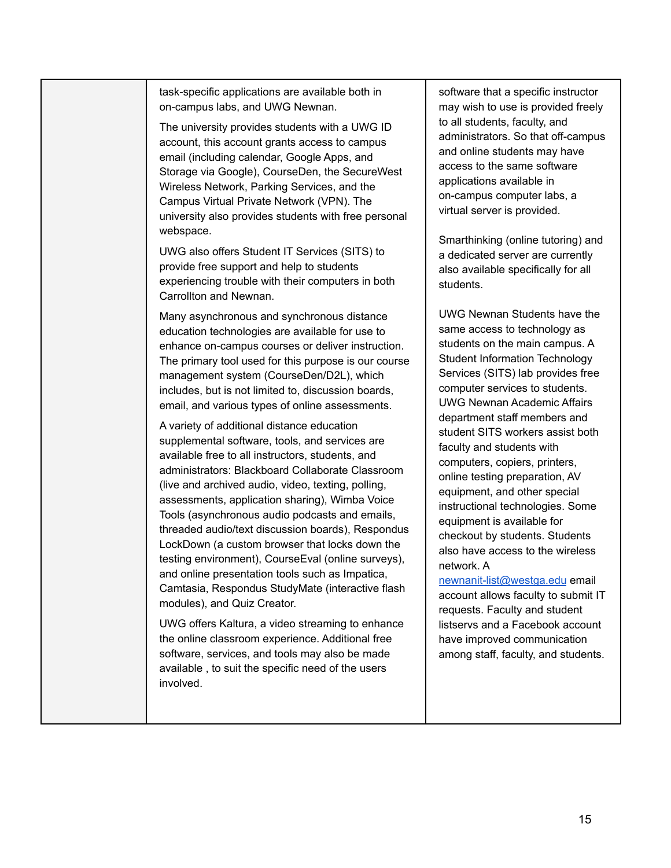task-specific applications are available both in on-campus labs, and UWG Newnan.

The university provides students with a UWG ID account, this account grants access to campus email (including calendar, Google Apps, and Storage via Google), CourseDen, the SecureWest Wireless Network, Parking Services, and the Campus Virtual Private Network (VPN). The university also provides students with free personal webspace.

UWG also offers Student IT Services (SITS) to provide free support and help to students experiencing trouble with their computers in both Carrollton and Newnan.

Many asynchronous and synchronous distance education technologies are available for use to enhance on-campus courses or deliver instruction. The primary tool used for this purpose is our course management system (CourseDen/D2L), which includes, but is not limited to, discussion boards, email, and various types of online assessments.

A variety of additional distance education supplemental software, tools, and services are available free to all instructors, students, and administrators: Blackboard Collaborate Classroom (live and archived audio, video, texting, polling, assessments, application sharing), Wimba Voice Tools (asynchronous audio podcasts and emails, threaded audio/text discussion boards), Respondus LockDown (a custom browser that locks down the testing environment), CourseEval (online surveys), and online presentation tools such as Impatica, Camtasia, Respondus StudyMate (interactive flash modules), and Quiz Creator.

UWG offers Kaltura, a video streaming to enhance the online classroom experience. Additional free software, services, and tools may also be made available , to suit the specific need of the users involved.

software that a specific instructor may wish to use is provided freely to all students, faculty, and administrators. So that off-campus and online students may have access to the same software applications available in on-campus computer labs, a virtual server is provided.

Smarthinking (online tutoring) and a dedicated server are currently also available specifically for all students.

UWG Newnan Students have the same access to technology as students on the main campus. A Student Information Technology Services (SITS) lab provides free computer services to students. UWG Newnan Academic Affairs department staff members and student SITS workers assist both faculty and students with computers, copiers, printers, online testing preparation, AV equipment, and other special instructional technologies. Some equipment is available for checkout by students. Students also have access to the wireless network. A

[newnanit-list@westga.edu](mailto:newnanit-list@westga.edu) email account allows faculty to submit IT requests. Faculty and student listservs and a Facebook account have improved communication among staff, faculty, and students.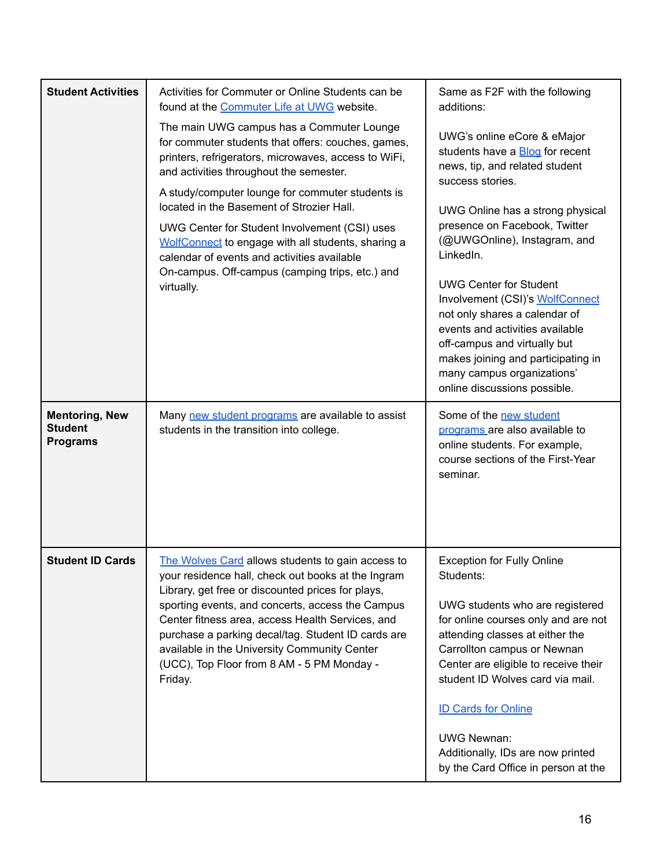| <b>Student Activities</b><br><b>Mentoring, New</b><br><b>Student</b><br><b>Programs</b> | Activities for Commuter or Online Students can be<br>found at the Commuter Life at UWG website.<br>The main UWG campus has a Commuter Lounge<br>for commuter students that offers: couches, games,<br>printers, refrigerators, microwaves, access to WiFi,<br>and activities throughout the semester.<br>A study/computer lounge for commuter students is<br>located in the Basement of Strozier Hall.<br>UWG Center for Student Involvement (CSI) uses<br>WolfConnect to engage with all students, sharing a<br>calendar of events and activities available<br>On-campus. Off-campus (camping trips, etc.) and<br>virtually.<br>Many new student programs are available to assist<br>students in the transition into college. | Same as F2F with the following<br>additions:<br>UWG's online eCore & eMajor<br>students have a <b>Blog</b> for recent<br>news, tip, and related student<br>success stories.<br>UWG Online has a strong physical<br>presence on Facebook, Twitter<br>(@UWGOnline), Instagram, and<br>LinkedIn.<br><b>UWG Center for Student</b><br>Involvement (CSI)'s WolfConnect<br>not only shares a calendar of<br>events and activities available<br>off-campus and virtually but<br>makes joining and participating in<br>many campus organizations'<br>online discussions possible.<br>Some of the new student<br>programs are also available to<br>online students. For example,<br>course sections of the First-Year<br>seminar. |
|-----------------------------------------------------------------------------------------|--------------------------------------------------------------------------------------------------------------------------------------------------------------------------------------------------------------------------------------------------------------------------------------------------------------------------------------------------------------------------------------------------------------------------------------------------------------------------------------------------------------------------------------------------------------------------------------------------------------------------------------------------------------------------------------------------------------------------------|--------------------------------------------------------------------------------------------------------------------------------------------------------------------------------------------------------------------------------------------------------------------------------------------------------------------------------------------------------------------------------------------------------------------------------------------------------------------------------------------------------------------------------------------------------------------------------------------------------------------------------------------------------------------------------------------------------------------------|
| <b>Student ID Cards</b>                                                                 | The Wolves Card allows students to gain access to<br>your residence hall, check out books at the Ingram<br>Library, get free or discounted prices for plays,<br>sporting events, and concerts, access the Campus<br>Center fitness area, access Health Services, and<br>purchase a parking decal/tag. Student ID cards are<br>available in the University Community Center<br>(UCC), Top Floor from 8 AM - 5 PM Monday -<br>Friday.                                                                                                                                                                                                                                                                                            | <b>Exception for Fully Online</b><br>Students:<br>UWG students who are registered<br>for online courses only and are not<br>attending classes at either the<br>Carrollton campus or Newnan<br>Center are eligible to receive their<br>student ID Wolves card via mail.<br><b>ID Cards for Online</b><br><b>UWG Newnan:</b><br>Additionally, IDs are now printed<br>by the Card Office in person at the                                                                                                                                                                                                                                                                                                                   |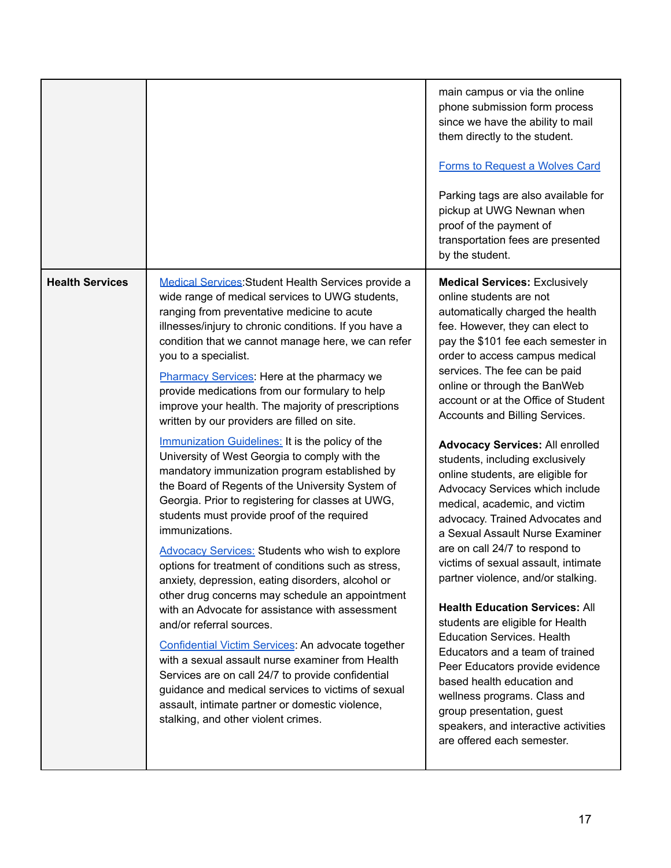|                        |                                                                                                                                                                                                                                                                                                                                                                                                                                                                                                                                                                                                                                                                                                                                                                                                                                                                                                                                                     | main campus or via the online<br>phone submission form process<br>since we have the ability to mail<br>them directly to the student.<br><b>Forms to Request a Wolves Card</b><br>Parking tags are also available for<br>pickup at UWG Newnan when<br>proof of the payment of<br>transportation fees are presented<br>by the student.                                                                                                                                                                                                                                                                                                                                                                                             |
|------------------------|-----------------------------------------------------------------------------------------------------------------------------------------------------------------------------------------------------------------------------------------------------------------------------------------------------------------------------------------------------------------------------------------------------------------------------------------------------------------------------------------------------------------------------------------------------------------------------------------------------------------------------------------------------------------------------------------------------------------------------------------------------------------------------------------------------------------------------------------------------------------------------------------------------------------------------------------------------|----------------------------------------------------------------------------------------------------------------------------------------------------------------------------------------------------------------------------------------------------------------------------------------------------------------------------------------------------------------------------------------------------------------------------------------------------------------------------------------------------------------------------------------------------------------------------------------------------------------------------------------------------------------------------------------------------------------------------------|
| <b>Health Services</b> | Medical Services: Student Health Services provide a<br>wide range of medical services to UWG students,<br>ranging from preventative medicine to acute<br>illnesses/injury to chronic conditions. If you have a<br>condition that we cannot manage here, we can refer<br>you to a specialist.<br>Pharmacy Services: Here at the pharmacy we<br>provide medications from our formulary to help<br>improve your health. The majority of prescriptions<br>written by our providers are filled on site.                                                                                                                                                                                                                                                                                                                                                                                                                                                  | <b>Medical Services: Exclusively</b><br>online students are not<br>automatically charged the health<br>fee. However, they can elect to<br>pay the \$101 fee each semester in<br>order to access campus medical<br>services. The fee can be paid<br>online or through the BanWeb<br>account or at the Office of Student<br>Accounts and Billing Services.                                                                                                                                                                                                                                                                                                                                                                         |
|                        | Immunization Guidelines: It is the policy of the<br>University of West Georgia to comply with the<br>mandatory immunization program established by<br>the Board of Regents of the University System of<br>Georgia. Prior to registering for classes at UWG,<br>students must provide proof of the required<br>immunizations.<br><b>Advocacy Services: Students who wish to explore</b><br>options for treatment of conditions such as stress,<br>anxiety, depression, eating disorders, alcohol or<br>other drug concerns may schedule an appointment<br>with an Advocate for assistance with assessment<br>and/or referral sources.<br>Confidential Victim Services: An advocate together<br>with a sexual assault nurse examiner from Health<br>Services are on call 24/7 to provide confidential<br>guidance and medical services to victims of sexual<br>assault, intimate partner or domestic violence,<br>stalking, and other violent crimes. | <b>Advocacy Services: All enrolled</b><br>students, including exclusively<br>online students, are eligible for<br>Advocacy Services which include<br>medical, academic, and victim<br>advocacy. Trained Advocates and<br>a Sexual Assault Nurse Examiner<br>are on call 24/7 to respond to<br>victims of sexual assault, intimate<br>partner violence, and/or stalking.<br><b>Health Education Services: All</b><br>students are eligible for Health<br><b>Education Services. Health</b><br>Educators and a team of trained<br>Peer Educators provide evidence<br>based health education and<br>wellness programs. Class and<br>group presentation, guest<br>speakers, and interactive activities<br>are offered each semester. |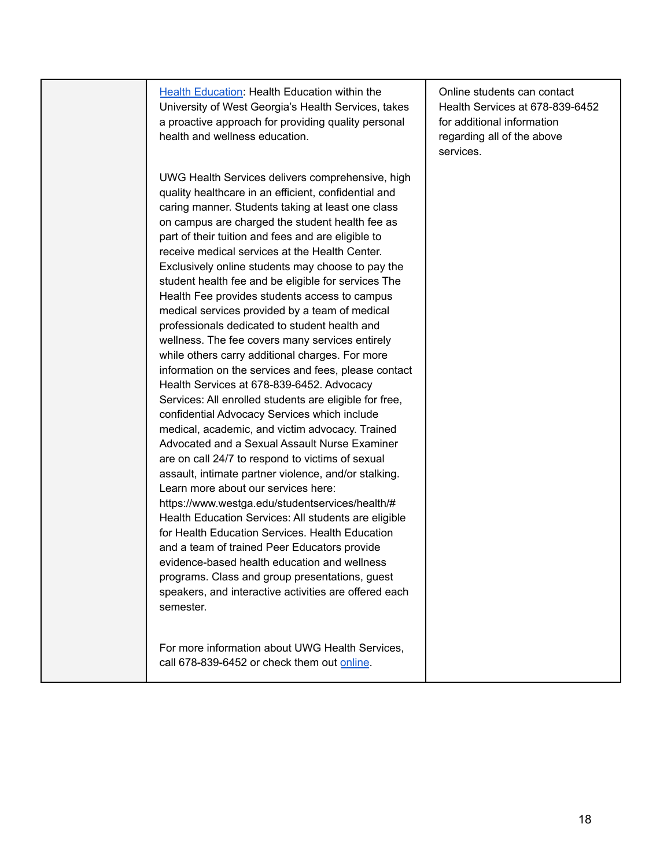Health [Education:](https://www.westga.edu/student-services/health/health-education/index.php) Health Education within the University of West Georgia's Health Services, takes a proactive approach for providing quality personal health and wellness education. UWG Health Services delivers comprehensive, high quality healthcare in an efficient, confidential and caring manner. Students taking at least one class on campus are charged the student health fee as part of their tuition and fees and are eligible to receive medical services at the Health Center. Exclusively online students may choose to pay the student health fee and be eligible for services The Health Fee provides students access to campus medical services provided by a team of medical professionals dedicated to student health and wellness. The fee covers many services entirely while others carry additional charges. For more information on the services and fees, please contact Health Services at 678-839-6452. Advocacy Services: All enrolled students are eligible for free, confidential Advocacy Services which include medical, academic, and victim advocacy. Trained Advocated and a Sexual Assault Nurse Examiner are on call 24/7 to respond to victims of sexual assault, intimate partner violence, and/or stalking. Learn more about our services here: https://www.westga.edu/studentservices/health/# Health Education Services: All students are eligible for Health Education Services. Health Education and a team of trained Peer Educators provide evidence-based health education and wellness programs. Class and group presentations, guest speakers, and interactive activities are offered each semester. For more information about UWG Health Services, call 678-839-6452 or check them out [online](https://www.westga.edu/student-services/health/index.php).

Online students can contact Health Services at 678-839-6452 for additional information regarding all of the above services.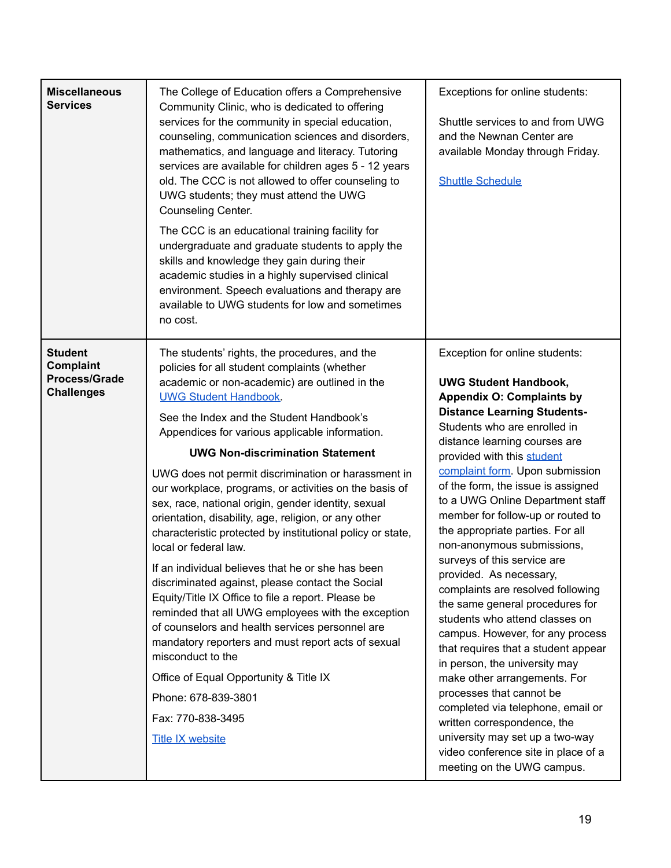| <b>Miscellaneous</b><br><b>Services</b>                                  | The College of Education offers a Comprehensive<br>Community Clinic, who is dedicated to offering<br>services for the community in special education,<br>counseling, communication sciences and disorders,<br>mathematics, and language and literacy. Tutoring<br>services are available for children ages 5 - 12 years<br>old. The CCC is not allowed to offer counseling to<br>UWG students; they must attend the UWG<br>Counseling Center.<br>The CCC is an educational training facility for<br>undergraduate and graduate students to apply the<br>skills and knowledge they gain during their<br>academic studies in a highly supervised clinical<br>environment. Speech evaluations and therapy are<br>available to UWG students for low and sometimes<br>no cost.                                                                                                                                                                                                                                                                                                                                         | Exceptions for online students:<br>Shuttle services to and from UWG<br>and the Newnan Center are<br>available Monday through Friday.<br><b>Shuttle Schedule</b>                                                                                                                                                                                                                                                                                                                                                                                                                                                                                                                                                                                                                                                                                                                                                                                                                     |
|--------------------------------------------------------------------------|-------------------------------------------------------------------------------------------------------------------------------------------------------------------------------------------------------------------------------------------------------------------------------------------------------------------------------------------------------------------------------------------------------------------------------------------------------------------------------------------------------------------------------------------------------------------------------------------------------------------------------------------------------------------------------------------------------------------------------------------------------------------------------------------------------------------------------------------------------------------------------------------------------------------------------------------------------------------------------------------------------------------------------------------------------------------------------------------------------------------|-------------------------------------------------------------------------------------------------------------------------------------------------------------------------------------------------------------------------------------------------------------------------------------------------------------------------------------------------------------------------------------------------------------------------------------------------------------------------------------------------------------------------------------------------------------------------------------------------------------------------------------------------------------------------------------------------------------------------------------------------------------------------------------------------------------------------------------------------------------------------------------------------------------------------------------------------------------------------------------|
| <b>Student</b><br>Complaint<br><b>Process/Grade</b><br><b>Challenges</b> | The students' rights, the procedures, and the<br>policies for all student complaints (whether<br>academic or non-academic) are outlined in the<br><b>UWG Student Handbook</b><br>See the Index and the Student Handbook's<br>Appendices for various applicable information.<br><b>UWG Non-discrimination Statement</b><br>UWG does not permit discrimination or harassment in<br>our workplace, programs, or activities on the basis of<br>sex, race, national origin, gender identity, sexual<br>orientation, disability, age, religion, or any other<br>characteristic protected by institutional policy or state,<br>local or federal law.<br>If an individual believes that he or she has been<br>discriminated against, please contact the Social<br>Equity/Title IX Office to file a report. Please be<br>reminded that all UWG employees with the exception<br>of counselors and health services personnel are<br>mandatory reporters and must report acts of sexual<br>misconduct to the<br>Office of Equal Opportunity & Title IX<br>Phone: 678-839-3801<br>Fax: 770-838-3495<br><b>Title IX website</b> | Exception for online students:<br><b>UWG Student Handbook,</b><br><b>Appendix O: Complaints by</b><br><b>Distance Learning Students-</b><br>Students who are enrolled in<br>distance learning courses are<br>provided with this student<br>complaint form. Upon submission<br>of the form, the issue is assigned<br>to a UWG Online Department staff<br>member for follow-up or routed to<br>the appropriate parties. For all<br>non-anonymous submissions,<br>surveys of this service are<br>provided. As necessary,<br>complaints are resolved following<br>the same general procedures for<br>students who attend classes on<br>campus. However, for any process<br>that requires that a student appear<br>in person, the university may<br>make other arrangements. For<br>processes that cannot be<br>completed via telephone, email or<br>written correspondence, the<br>university may set up a two-way<br>video conference site in place of a<br>meeting on the UWG campus. |